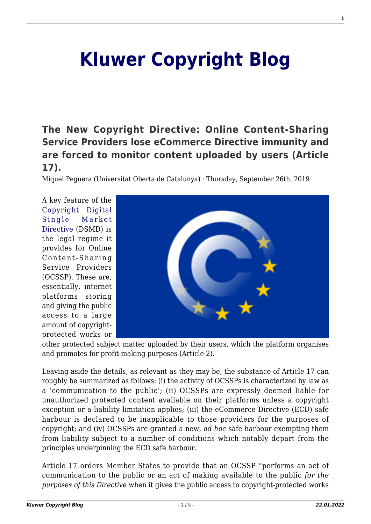# **[Kluwer Copyright Blog](http://copyrightblog.kluweriplaw.com/)**

# **[The New Copyright Directive: Online Content-Sharing](http://copyrightblog.kluweriplaw.com/2019/09/26/the-new-copyright-directive-online-content-sharing-service-providers-lose-ecommerce-directive-immunity-and-are-forced-to-monitor-content-uploaded-by-users-article-17/) [Service Providers lose eCommerce Directive immunity and](http://copyrightblog.kluweriplaw.com/2019/09/26/the-new-copyright-directive-online-content-sharing-service-providers-lose-ecommerce-directive-immunity-and-are-forced-to-monitor-content-uploaded-by-users-article-17/) [are forced to monitor content uploaded by users \(Article](http://copyrightblog.kluweriplaw.com/2019/09/26/the-new-copyright-directive-online-content-sharing-service-providers-lose-ecommerce-directive-immunity-and-are-forced-to-monitor-content-uploaded-by-users-article-17/) [17\).](http://copyrightblog.kluweriplaw.com/2019/09/26/the-new-copyright-directive-online-content-sharing-service-providers-lose-ecommerce-directive-immunity-and-are-forced-to-monitor-content-uploaded-by-users-article-17/)**

Miquel Peguera (Universitat Oberta de Catalunya) · Thursday, September 26th, 2019

A key feature of the [Copyright Digital](https://eur-lex.europa.eu/legal-content/EN/TXT/HTML/?uri=CELEX:32019L0790&from=EN) [Single Market](https://eur-lex.europa.eu/legal-content/EN/TXT/HTML/?uri=CELEX:32019L0790&from=EN) [Directive](https://eur-lex.europa.eu/legal-content/EN/TXT/HTML/?uri=CELEX:32019L0790&from=EN) (DSMD) is the legal regime it provides for Online Content-Sharing Service Providers (OCSSP). These are, essentially, internet platforms storing and giving the public access to a large amount of copyrightprotected works or



other protected subject matter uploaded by their users, which the platform organises and promotes for profit-making purposes (Article 2).

Leaving aside the details, as relevant as they may be, the substance of Article 17 can roughly be summarized as follows: (i) the activity of OCSSPs is characterized by law as a 'communication to the public'; (ii) OCSSPs are expressly deemed liable for unauthorized protected content available on their platforms unless a copyright exception or a liability limitation applies; (iii) the eCommerce Directive (ECD) safe harbour is declared to be inapplicable to those providers for the purposes of copyright; and (iv) OCSSPs are granted a new, *ad hoc* safe harbour exempting them from liability subject to a number of conditions which notably depart from the principles underpinning the ECD safe harbour.

Article 17 orders Member States to provide that an OCSSP "performs an act of communication to the public or an act of making available to the public *for the purposes of this Directive* when it gives the public access to copyright-protected works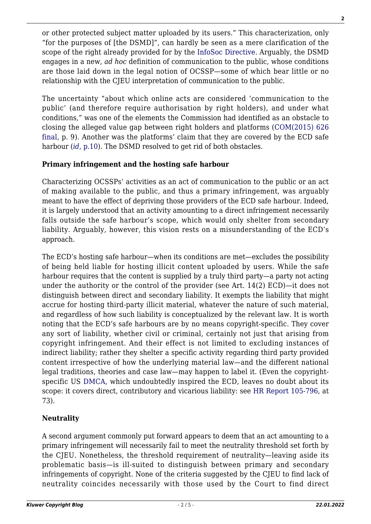or other protected subject matter uploaded by its users." This characterization, only "for the purposes of [the DSMD]", can hardly be seen as a mere clarification of the scope of the right already provided for by the [InfoSoc Directive.](https://eur-lex.europa.eu/legal-content/EN/ALL/?uri=celex%3A32001L0029) Arguably, the DSMD engages in a new, *ad hoc* definition of communication to the public, whose conditions are those laid down in the legal notion of OCSSP—some of which bear little or no relationship with the CJEU interpretation of communication to the public.

The uncertainty "about which online acts are considered 'communication to the public' (and therefore require authorisation by right holders), and under what conditions," was one of the elements the Commission had identified as an obstacle to closing the alleged value gap between right holders and platforms ([COM\(2015\) 626](https://eur-lex.europa.eu/legal-content/EN/TXT/HTML/?uri=CELEX:52015DC0626&from=EN) [final,](https://eur-lex.europa.eu/legal-content/EN/TXT/HTML/?uri=CELEX:52015DC0626&from=EN) p. 9). Another was the platforms' claim that they are covered by the ECD safe harbour *([id](https://eur-lex.europa.eu/legal-content/EN/TXT/HTML/?uri=CELEX:52015DC0626&from=EN). p.10)*. The DSMD resolved to get rid of both obstacles.

### **Primary infringement and the hosting safe harbour**

Characterizing OCSSPs' activities as an act of communication to the public or an act of making available to the public, and thus a primary infringement, was arguably meant to have the effect of depriving those providers of the ECD safe harbour. Indeed, it is largely understood that an activity amounting to a direct infringement necessarily falls outside the safe harbour's scope, which would only shelter from secondary liability. Arguably, however, this vision rests on a misunderstanding of the ECD's approach.

The ECD's hosting safe harbour—when its conditions are met—excludes the possibility of being held liable for hosting illicit content uploaded by users. While the safe harbour requires that the content is supplied by a truly third party—a party not acting under the authority or the control of the provider (see Art. 14(2) ECD)—it does not distinguish between direct and secondary liability. It exempts the liability that might accrue for hosting third-party illicit material, whatever the nature of such material, and regardless of how such liability is conceptualized by the relevant law. It is worth noting that the ECD's safe harbours are by no means copyright-specific. They cover any sort of liability, whether civil or criminal, certainly not just that arising from copyright infringement. And their effect is not limited to excluding instances of indirect liability; rather they shelter a specific activity regarding third party provided content irrespective of how the underlying material law—and the different national legal traditions, theories and case law—may happen to label it. (Even the copyrightspecific US [DMCA](https://www.law.cornell.edu/uscode/text/17/512), which undoubtedly inspired the ECD, leaves no doubt about its scope: it covers direct, contributory and vicarious liability: see [HR Report 105-796](https://www.congress.gov/105/crpt/hrpt796/CRPT-105hrpt796.pdf), at 73).

### **Neutrality**

A second argument commonly put forward appears to deem that an act amounting to a primary infringement will necessarily fail to meet the neutrality threshold set forth by the CJEU. Nonetheless, the threshold requirement of neutrality—leaving aside its problematic basis—is ill-suited to distinguish between primary and secondary infringements of copyright. None of the criteria suggested by the CJEU to find lack of neutrality coincides necessarily with those used by the Court to find direct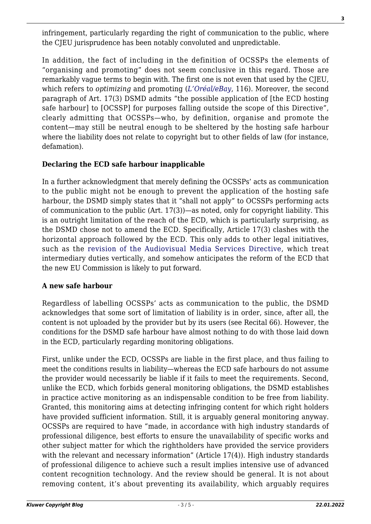infringement, particularly regarding the right of communication to the public, where the CJEU jurisprudence has been notably convoluted and unpredictable.

In addition, the fact of including in the definition of OCSSPs the elements of "organising and promoting" does not seem conclusive in this regard. Those are remarkably vague terms to begin with. The first one is not even that used by the CJEU, which refers to *optimizing* and promoting (*[L'Oréal/eBay](http://curia.europa.eu/juris/document/document.jsf?text=&docid=107261&pageIndex=0&doclang=EN&mode=lst&dir=&occ=first&part=1&cid=456753)*, 116). Moreover, the second paragraph of Art. 17(3) DSMD admits "the possible application of [the ECD hosting safe harbour] to [OCSSP] for purposes falling outside the scope of this Directive", clearly admitting that OCSSPs—who, by definition, organise and promote the content—may still be neutral enough to be sheltered by the hosting safe harbour where the liability does not relate to copyright but to other fields of law (for instance, defamation).

## **Declaring the ECD safe harbour inapplicable**

In a further acknowledgment that merely defining the OCSSPs' acts as communication to the public might not be enough to prevent the application of the hosting safe harbour, the DSMD simply states that it "shall not apply" to OCSSPs performing acts of communication to the public (Art. 17(3))—as noted, only for copyright liability. This is an outright limitation of the reach of the ECD, which is particularly surprising, as the DSMD chose not to amend the ECD. Specifically, Article 17(3) clashes with the horizontal approach followed by the ECD. This only adds to other legal initiatives, such as the [revision of the Audiovisual Media Services Directive,](https://eur-lex.europa.eu/legal-content/EN/TXT/?uri=CELEX:32018L1808) which treat intermediary duties vertically, and somehow anticipates the reform of the ECD that the new EU Commission is likely to put forward.

### **A new safe harbour**

Regardless of labelling OCSSPs' acts as communication to the public, the DSMD acknowledges that some sort of limitation of liability is in order, since, after all, the content is not uploaded by the provider but by its users (see Recital 66). However, the conditions for the DSMD safe harbour have almost nothing to do with those laid down in the ECD, particularly regarding monitoring obligations.

First, unlike under the ECD, OCSSPs are liable in the first place, and thus failing to meet the conditions results in liability—whereas the ECD safe harbours do not assume the provider would necessarily be liable if it fails to meet the requirements. Second, unlike the ECD, which forbids general monitoring obligations, the DSMD establishes in practice active monitoring as an indispensable condition to be free from liability. Granted, this monitoring aims at detecting infringing content for which right holders have provided sufficient information. Still, it is arguably general monitoring anyway. OCSSPs are required to have "made, in accordance with high industry standards of professional diligence, best efforts to ensure the unavailability of specific works and other subject matter for which the rightholders have provided the service providers with the relevant and necessary information" (Article 17(4)). High industry standards of professional diligence to achieve such a result implies intensive use of advanced content recognition technology. And the review should be general. It is not about removing content, it's about preventing its availability, which arguably requires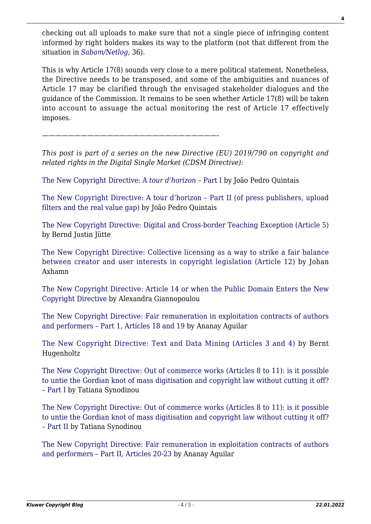checking out all uploads to make sure that not a single piece of infringing content informed by right holders makes its way to the platform (not that different from the situation in *[Sabam/Netlog](http://curia.europa.eu/juris/document/document.jsf?text=&docid=119512&pageIndex=0&doclang=EN&mode=lst&dir=&occ=first&part=1&cid=457747)*, 36).

This is why Article 17(8) sounds very close to a mere political statement. Nonetheless, the Directive needs to be transposed, and some of the ambiguities and nuances of Article 17 may be clarified through the envisaged stakeholder dialogues and the guidance of the Commission. It remains to be seen whether Article 17(8) will be taken into account to assuage the actual monitoring the rest of Article 17 effectively imposes.

*———————————————————————————-*

*This post is part of a series on the new Directive (EU) 2019/790 on copyright and related rights in the Digital Single Market (CDSM Directive):*

[The New Copyright Directive: A](http://copyrightblog.kluweriplaw.com/2019/06/07/the-new-copyright-directive-a-tour-dhorizon-part-i/) *[tour d'horizon –](http://copyrightblog.kluweriplaw.com/2019/06/07/the-new-copyright-directive-a-tour-dhorizon-part-i/)* [Part I](http://copyrightblog.kluweriplaw.com/2019/06/07/the-new-copyright-directive-a-tour-dhorizon-part-i/) by João Pedro Quintais

[The New Copyright Directive: A tour d'horizon – Part II \(of press publishers, upload](http://copyrightblog.kluweriplaw.com/2019/06/17/the-new-copyright-directive-a-tour-dhorizon-part-ii-of-press-publishers-upload-filters-and-the-real-value-gap/) [filters and the real value gap\)](http://copyrightblog.kluweriplaw.com/2019/06/17/the-new-copyright-directive-a-tour-dhorizon-part-ii-of-press-publishers-upload-filters-and-the-real-value-gap/) by João Pedro Quintais

[The New Copyright Directive: Digital and Cross-border Teaching Exception \(Article 5\)](http://copyrightblog.kluweriplaw.com/2019/06/21/the-new-copyright-directive-digital-and-cross-border-teaching-exception-article-5/) by Bernd Justin Jütte

[The New Copyright Directive: Collective licensing as a way to strike a fair balance](http://copyrightblog.kluweriplaw.com/2019/06/25/the-new-copyright-directive-collective-licensing-as-a-way-to-strike-a-fair-balance-between-creator-and-user-interests-in-copyright-legislation-article-12/) [between creator and user interests in copyright legislation \(Article 12\)](http://copyrightblog.kluweriplaw.com/2019/06/25/the-new-copyright-directive-collective-licensing-as-a-way-to-strike-a-fair-balance-between-creator-and-user-interests-in-copyright-legislation-article-12/) by Johan Axhamn

[The New Copyright Directive: Article 14 or when the Public Domain Enters the New](http://copyrightblog.kluweriplaw.com/2019/06/27/the-new-copyright-directive-article-14-or-when-the-public-domain-enters-the-new-copyright-directive/) [Copyright Directive](http://copyrightblog.kluweriplaw.com/2019/06/27/the-new-copyright-directive-article-14-or-when-the-public-domain-enters-the-new-copyright-directive/) by Alexandra Giannopoulou

[The New Copyright Directive: Fair remuneration in exploitation contracts of authors](http://copyrightblog.kluweriplaw.com/2019/07/15/the-new-copyright-directive-fair-remuneration-in-exploitation-contracts-of-authors-and-performers-part-1-articles-18-and-19/) [and performers – Part 1, Articles 18 and 19](http://copyrightblog.kluweriplaw.com/2019/07/15/the-new-copyright-directive-fair-remuneration-in-exploitation-contracts-of-authors-and-performers-part-1-articles-18-and-19/) by Ananay Aguilar

[The New Copyright Directive: Text and Data Mining \(Articles 3 and 4\)](http://copyrightblog.kluweriplaw.com/2019/07/24/the-new-copyright-directive-text-and-data-mining-articles-3-and-4/) by Bernt Hugenholtz

[The New Copyright Directive: Out of commerce works \(Articles 8 to 11\): is it possible](http://copyrightblog.kluweriplaw.com/2019/07/29/the-new-copyright-directive-out-of-commerce-works-articles-8-to-11-is-it-possible-to-untie-the-gordian-knot-of-mass-digitisation-and-copyright-law-without-cutting-it-off-part-i/) [to untie the Gordian knot of mass digitisation and copyright law without cutting it off?](http://copyrightblog.kluweriplaw.com/2019/07/29/the-new-copyright-directive-out-of-commerce-works-articles-8-to-11-is-it-possible-to-untie-the-gordian-knot-of-mass-digitisation-and-copyright-law-without-cutting-it-off-part-i/) [– Part I](http://copyrightblog.kluweriplaw.com/2019/07/29/the-new-copyright-directive-out-of-commerce-works-articles-8-to-11-is-it-possible-to-untie-the-gordian-knot-of-mass-digitisation-and-copyright-law-without-cutting-it-off-part-i/) by Tatiana Synodinou

[The New Copyright Directive: Out of commerce works \(Articles 8 to 11\): is it possible](http://copyrightblog.kluweriplaw.com/2019/08/05/the-new-copyright-directive-out-of-commerce-works-articles-8-to-11-is-it-possible-to-untie-the-gordian-knot-of-mass-digitisation-and-copyright-law-without-cutting-it-off-part-ii/) [to untie the Gordian knot of mass digitisation and copyright law without cutting it off?](http://copyrightblog.kluweriplaw.com/2019/08/05/the-new-copyright-directive-out-of-commerce-works-articles-8-to-11-is-it-possible-to-untie-the-gordian-knot-of-mass-digitisation-and-copyright-law-without-cutting-it-off-part-ii/) [– Part II](http://copyrightblog.kluweriplaw.com/2019/08/05/the-new-copyright-directive-out-of-commerce-works-articles-8-to-11-is-it-possible-to-untie-the-gordian-knot-of-mass-digitisation-and-copyright-law-without-cutting-it-off-part-ii/) by Tatiana Synodinou

[The New Copyright Directive: Fair remuneration in exploitation contracts of authors](http://copyrightblog.kluweriplaw.com/2019/07/15/the-new-copyright-directive-fair-remuneration-in-exploitation-contracts-of-authors-and-performers-part-1-articles-18-and-19/) [and performers – Part II, Articles 20-23](http://copyrightblog.kluweriplaw.com/2019/07/15/the-new-copyright-directive-fair-remuneration-in-exploitation-contracts-of-authors-and-performers-part-1-articles-18-and-19/) by Ananay Aguilar